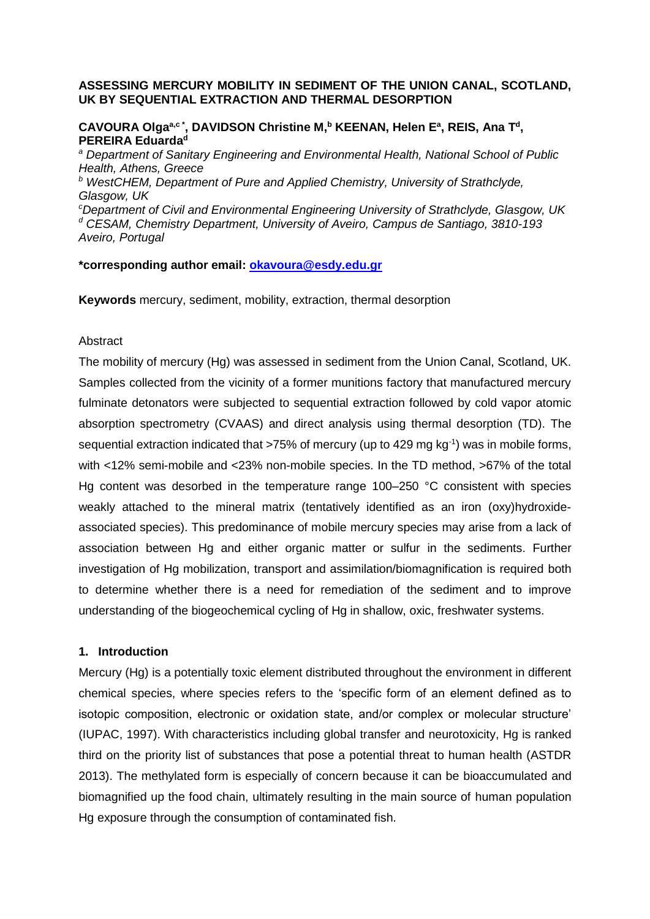# **ASSESSING MERCURY MOBILITY IN SEDIMENT OF THE UNION CANAL, SCOTLAND, UK BY SEQUENTIAL EXTRACTION AND THERMAL DESORPTION**

# CAVOURA Olga<sup>a,c\*</sup>, DAVIDSON Christine M,<sup>b</sup> KEENAN, Helen E<sup>a</sup>, REIS, Ana T<sup>d</sup>, **PEREIRA Eduarda<sup>d</sup>**

*<sup>a</sup> Department of Sanitary Engineering and Environmental Health, National School of Public Health, Athens, Greece <sup>b</sup> WestCHEM, Department of Pure and Applied Chemistry, University of Strathclyde, Glasgow, UK*

*<sup>c</sup>Department of Civil and Environmental Engineering University of Strathclyde, Glasgow, UK <sup>d</sup> CESAM, Chemistry Department, University of Aveiro, Campus de Santiago, 3810-193 Aveiro, Portugal*

# **\*corresponding author email: [okavoura@esdy.edu.gr](mailto:okavoura@esdy.edu.gr)**

**Keywords** mercury, sediment, mobility, extraction, thermal desorption

# Abstract

The mobility of mercury (Hg) was assessed in sediment from the Union Canal, Scotland, UK. Samples collected from the vicinity of a former munitions factory that manufactured mercury fulminate detonators were subjected to sequential extraction followed by cold vapor atomic absorption spectrometry (CVAAS) and direct analysis using thermal desorption (TD). The sequential extraction indicated that >75% of mercury (up to 429 mg kg<sup>-1</sup>) was in mobile forms, with <12% semi-mobile and <23% non-mobile species. In the TD method, >67% of the total Hg content was desorbed in the temperature range 100–250 °C consistent with species weakly attached to the mineral matrix (tentatively identified as an iron (oxy)hydroxideassociated species). This predominance of mobile mercury species may arise from a lack of association between Hg and either organic matter or sulfur in the sediments. Further investigation of Hg mobilization, transport and assimilation/biomagnification is required both to determine whether there is a need for remediation of the sediment and to improve understanding of the biogeochemical cycling of Hg in shallow, oxic, freshwater systems.

# **1. Introduction**

Mercury (Hg) is a potentially toxic element distributed throughout the environment in different chemical species, where species refers to the 'specific form of an element defined as to isotopic composition, electronic or oxidation state, and/or complex or molecular structure' (IUPAC, 1997). With characteristics including global transfer and neurotoxicity, Hg is ranked third on the priority list of substances that pose a potential threat to human health (ASTDR 2013). The methylated form is especially of concern because it can be bioaccumulated and biomagnified up the food chain, ultimately resulting in the main source of human population Hg exposure through the consumption of contaminated fish.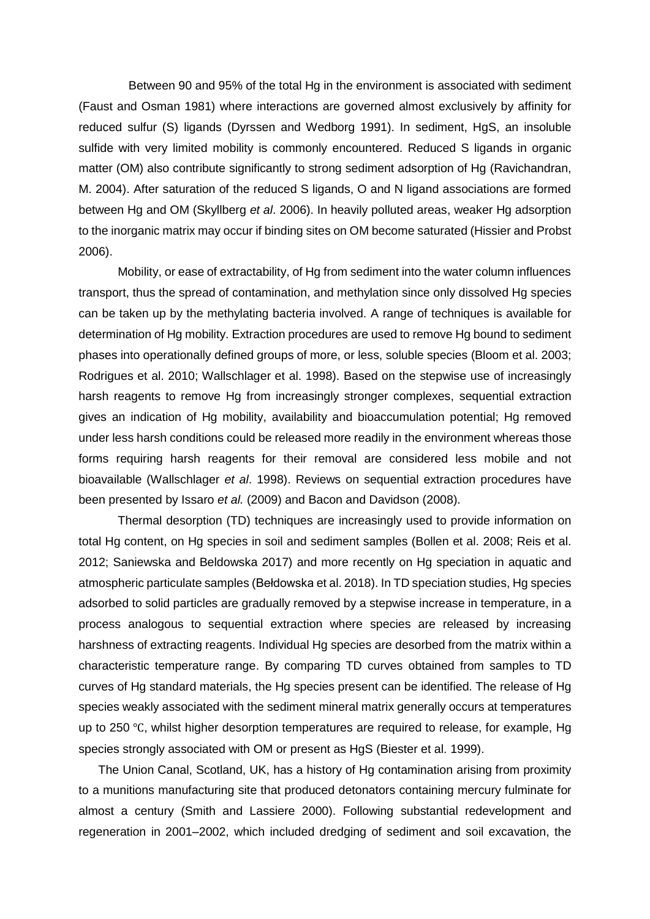Between 90 and 95% of the total Hg in the environment is associated with sediment (Faust and Osman 1981) where interactions are governed almost exclusively by affinity for reduced sulfur (S) ligands (Dyrssen and Wedborg 1991). In sediment, HgS, an insoluble sulfide with very limited mobility is commonly encountered. Reduced S ligands in organic matter (OM) also contribute significantly to strong sediment adsorption of Hg (Ravichandran, M. 2004). After saturation of the reduced S ligands, O and N ligand associations are formed between Hg and OM (Skyllberg *et al*. 2006). In heavily polluted areas, weaker Hg adsorption to the inorganic matrix may occur if binding sites on OM become saturated (Hissier and Probst 2006).

Mobility, or ease of extractability, of Hg from sediment into the water column influences transport, thus the spread of contamination, and methylation since only dissolved Hg species can be taken up by the methylating bacteria involved. A range of techniques is available for determination of Hg mobility. Extraction procedures are used to remove Hg bound to sediment phases into operationally defined groups of more, or less, soluble species (Bloom et al. 2003; Rodrigues et al. 2010; Wallschlager et al. 1998). Based on the stepwise use of increasingly harsh reagents to remove Hg from increasingly stronger complexes, sequential extraction gives an indication of Hg mobility, availability and bioaccumulation potential; Hg removed under less harsh conditions could be released more readily in the environment whereas those forms requiring harsh reagents for their removal are considered less mobile and not bioavailable (Wallschlager *et al*. 1998). Reviews on sequential extraction procedures have been presented by Issaro *et al.* (2009) and Bacon and Davidson (2008).

Thermal desorption (TD) techniques are increasingly used to provide information on total Hg content, on Hg species in soil and sediment samples (Bollen et al. 2008; Reis et al. 2012; Saniewska and Beldowska 2017) and more recently on Hg speciation in aquatic and atmospheric particulate samples (Bełdowska et al. 2018). In TD speciation studies, Hg species adsorbed to solid particles are gradually removed by a stepwise increase in temperature, in a process analogous to sequential extraction where species are released by increasing harshness of extracting reagents. Individual Hg species are desorbed from the matrix within a characteristic temperature range. By comparing TD curves obtained from samples to TD curves of Hg standard materials, the Hg species present can be identified. The release of Hg species weakly associated with the sediment mineral matrix generally occurs at temperatures up to 250 ℃, whilst higher desorption temperatures are required to release, for example, Hg species strongly associated with OM or present as HgS (Biester et al. 1999).

The Union Canal, Scotland, UK, has a history of Hg contamination arising from proximity to a munitions manufacturing site that produced detonators containing mercury fulminate for almost a century (Smith and Lassiere 2000). Following substantial redevelopment and regeneration in 2001–2002, which included dredging of sediment and soil excavation, the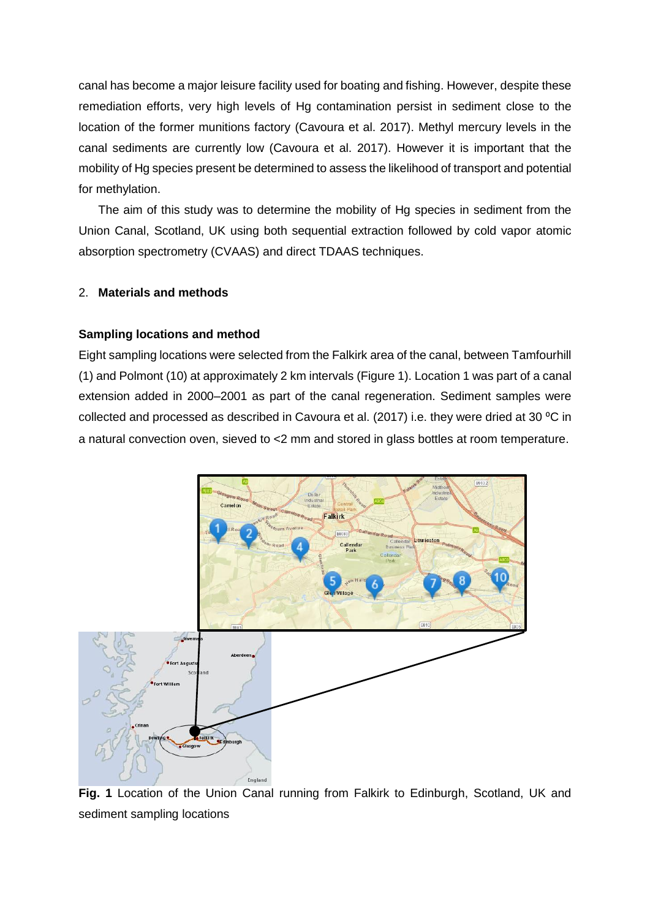canal has become a major leisure facility used for boating and fishing. However, despite these remediation efforts, very high levels of Hg contamination persist in sediment close to the location of the former munitions factory (Cavoura et al. 2017). Methyl mercury levels in the canal sediments are currently low (Cavoura et al. 2017). However it is important that the mobility of Hg species present be determined to assess the likelihood of transport and potential for methylation.

The aim of this study was to determine the mobility of Hg species in sediment from the Union Canal, Scotland, UK using both sequential extraction followed by cold vapor atomic absorption spectrometry (CVAAS) and direct TDAAS techniques.

# 2. **Materials and methods**

#### **Sampling locations and method**

Eight sampling locations were selected from the Falkirk area of the canal, between Tamfourhill (1) and Polmont (10) at approximately 2 km intervals (Figure 1). Location 1 was part of a canal extension added in 2000–2001 as part of the canal regeneration. Sediment samples were collected and processed as described in Cavoura et al. (2017) i.e. they were dried at 30 °C in a natural convection oven, sieved to <2 mm and stored in glass bottles at room temperature.



**Fig. 1** Location of the Union Canal running from Falkirk to Edinburgh, Scotland, UK and sediment sampling locations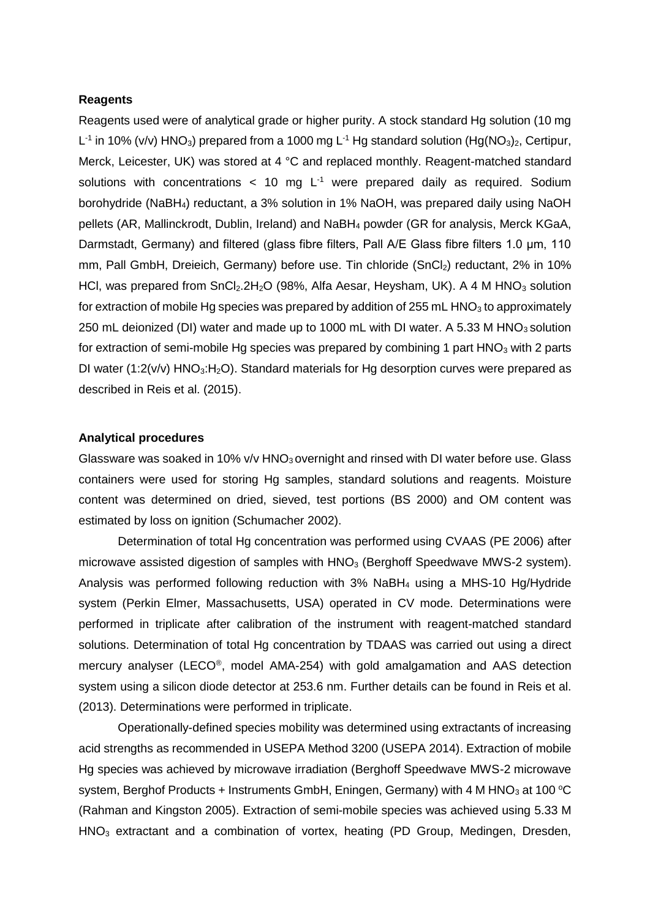#### **Reagents**

Reagents used were of analytical grade or higher purity. A stock standard Hg solution (10 mg L<sup>-1</sup> in 10% (v/v) HNO<sub>3</sub>) prepared from a 1000 mg L<sup>-1</sup> Hg standard solution (Hg(NO<sub>3</sub>)<sub>2</sub>, Certipur, Merck, Leicester, UK) was stored at 4 °C and replaced monthly. Reagent-matched standard solutions with concentrations  $< 10$  mg L<sup>-1</sup> were prepared daily as required. Sodium borohydride (NaBH4) reductant, a 3% solution in 1% NaOH, was prepared daily using NaOH pellets (AR, Mallinckrodt, Dublin, Ireland) and NaBH<sup>4</sup> powder (GR for analysis, Merck KGaA, Darmstadt, Germany) and filtered (glass fibre filters, Pall A/E Glass fibre filters 1.0 μm, 110 mm, Pall GmbH, Dreieich, Germany) before use. Tin chloride (SnCl<sub>2</sub>) reductant, 2% in 10% HCl, was prepared from  $SnCl<sub>2</sub>.2H<sub>2</sub>O$  (98%, Alfa Aesar, Heysham, UK). A 4 M HNO<sub>3</sub> solution for extraction of mobile Hg species was prepared by addition of 255 mL HNO<sub>3</sub> to approximately 250 mL deionized (DI) water and made up to 1000 mL with DI water. A 5.33 M HNO $_3$  solution for extraction of semi-mobile Hg species was prepared by combining 1 part  $HNO<sub>3</sub>$  with 2 parts DI water (1:2( $v/v$ ) HNO<sub>3</sub>:H<sub>2</sub>O). Standard materials for Hg desorption curves were prepared as described in Reis et al. (2015).

## **Analytical procedures**

Glassware was soaked in 10%  $v/v$  HNO<sub>3</sub> overnight and rinsed with DI water before use. Glass containers were used for storing Hg samples, standard solutions and reagents. Moisture content was determined on dried, sieved, test portions (BS 2000) and OM content was estimated by loss on ignition (Schumacher 2002).

Determination of total Hg concentration was performed using CVAAS (PE 2006) after microwave assisted digestion of samples with  $HNO<sub>3</sub>$  (Berghoff Speedwave MWS-2 system). Analysis was performed following reduction with 3% NaBH<sup>4</sup> using a MHS-10 Hg/Hydride system (Perkin Elmer, Massachusetts, USA) operated in CV mode. Determinations were performed in triplicate after calibration of the instrument with reagent-matched standard solutions. Determination of total Hg concentration by TDAAS was carried out using a direct mercury analyser (LECO® , model AMA-254) with gold amalgamation and AAS detection system using a silicon diode detector at 253.6 nm. Further details can be found in Reis et al. (2013). Determinations were performed in triplicate.

Operationally-defined species mobility was determined using extractants of increasing acid strengths as recommended in USEPA Method 3200 (USEPA 2014). Extraction of mobile Hg species was achieved by microwave irradiation (Berghoff Speedwave MWS-2 microwave system, Berghof Products + Instruments GmbH, Eningen, Germany) with 4 M HNO<sub>3</sub> at 100 °C (Rahman and Kingston 2005). Extraction of semi-mobile species was achieved using 5.33 M HNO<sub>3</sub> extractant and a combination of vortex, heating (PD Group, Medingen, Dresden,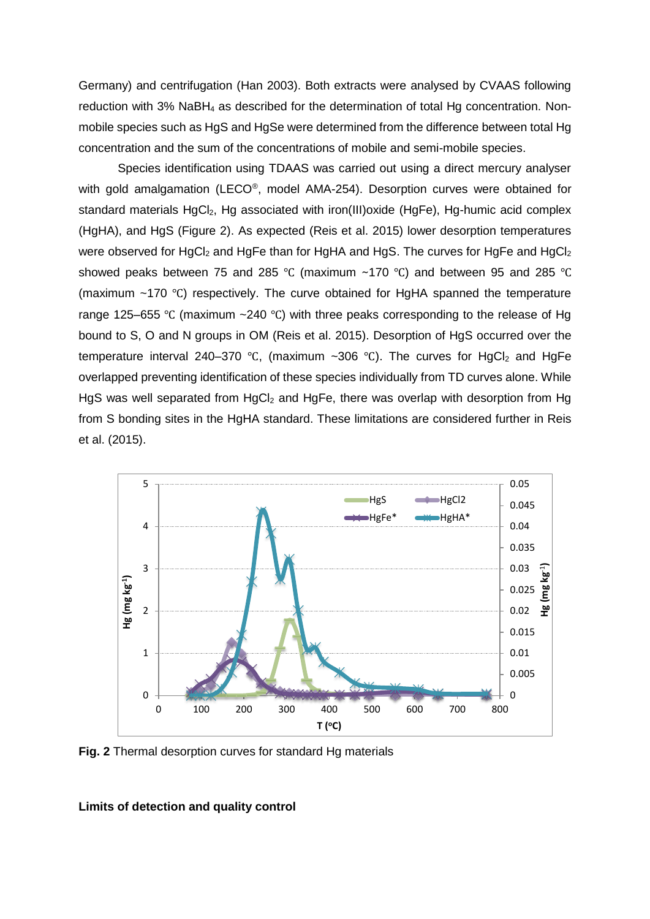Germany) and centrifugation (Han 2003). Both extracts were analysed by CVAAS following reduction with 3% NaBH<sup>4</sup> as described for the determination of total Hg concentration. Nonmobile species such as HgS and HgSe were determined from the difference between total Hg concentration and the sum of the concentrations of mobile and semi-mobile species.

Species identification using TDAAS was carried out using a direct mercury analyser with gold amalgamation (LECO®, model AMA-254). Desorption curves were obtained for standard materials HgCl<sub>2</sub>, Hg associated with iron(III)oxide (HgFe), Hg-humic acid complex (HgHA), and HgS (Figure 2). As expected (Reis et al. 2015) lower desorption temperatures were observed for HgCl<sub>2</sub> and HgFe than for HgHA and HgS. The curves for HgFe and HgCl<sub>2</sub> showed peaks between 75 and 285 ℃ (maximum ~170 ℃) and between 95 and 285 ℃ (maximum ~170 ℃) respectively. The curve obtained for HgHA spanned the temperature range 125–655 ℃ (maximum ~240 ℃) with three peaks corresponding to the release of Hg bound to S, O and N groups in OM (Reis et al. 2015). Desorption of HgS occurred over the temperature interval 240–370 °C, (maximum ~306 °C). The curves for HgCl<sub>2</sub> and HgFe overlapped preventing identification of these species individually from TD curves alone. While HgS was well separated from  $HgCl<sub>2</sub>$  and HgFe, there was overlap with desorption from Hg from S bonding sites in the HgHA standard. These limitations are considered further in Reis et al. (2015).



**Fig. 2** Thermal desorption curves for standard Hg materials

## **Limits of detection and quality control**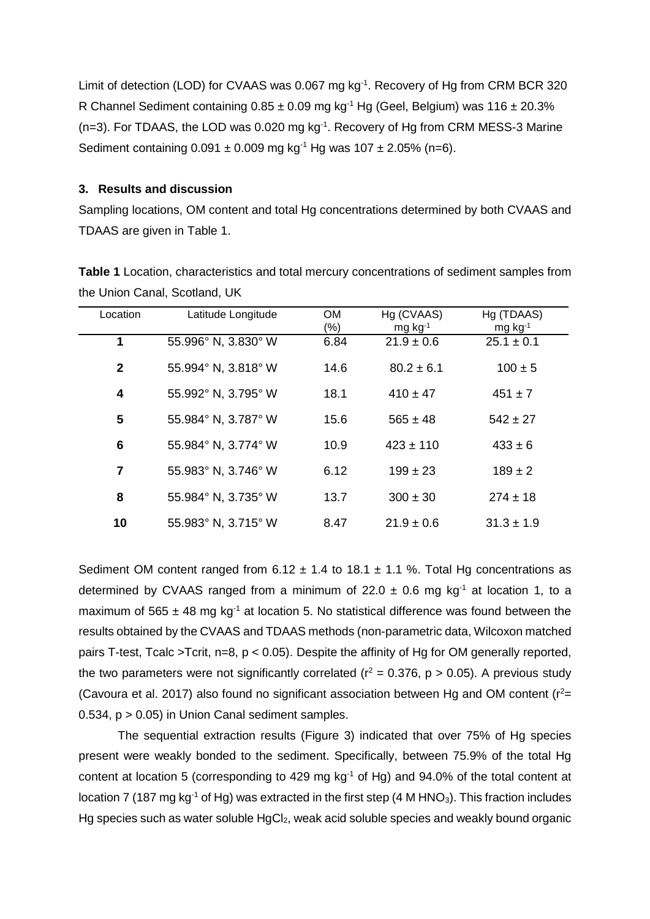Limit of detection (LOD) for CVAAS was 0.067 mg  $kg<sup>-1</sup>$ . Recovery of Hg from CRM BCR 320 R Channel Sediment containing  $0.85 \pm 0.09$  mg kg<sup>-1</sup> Hg (Geel, Belgium) was 116  $\pm$  20.3%  $(n=3)$ . For TDAAS, the LOD was 0.020 mg kg<sup>-1</sup>. Recovery of Hg from CRM MESS-3 Marine Sediment containing  $0.091 \pm 0.009$  mg kg<sup>-1</sup> Hg was  $107 \pm 2.05\%$  (n=6).

### **3. Results and discussion**

Sampling locations, OM content and total Hg concentrations determined by both CVAAS and TDAAS are given in Table 1.

**Table 1** Location, characteristics and total mercury concentrations of sediment samples from the Union Canal, Scotland, UK

| Location     | Latitude Longitude  | <b>OM</b> | Hg (CVAAS)            | Hg (TDAAS)            |
|--------------|---------------------|-----------|-----------------------|-----------------------|
|              |                     | $(\%)$    | $mg$ kg <sup>-1</sup> | $mg$ kg <sup>-1</sup> |
| 1            | 55.996° N, 3.830° W | 6.84      | $21.9 \pm 0.6$        | $25.1 \pm 0.1$        |
| $\mathbf{2}$ | 55.994° N, 3.818° W | 14.6      | $80.2 \pm 6.1$        | $100 \pm 5$           |
| 4            | 55.992° N, 3.795° W | 18.1      | $410 \pm 47$          | $451 \pm 7$           |
| 5            | 55.984° N, 3.787° W | 15.6      | $565 \pm 48$          | $542 \pm 27$          |
| 6            | 55.984° N, 3.774° W | 10.9      | $423 \pm 110$         | $433 \pm 6$           |
| 7            | 55.983° N, 3.746° W | 6.12      | $199 \pm 23$          | $189 \pm 2$           |
| 8            | 55.984° N, 3.735° W | 13.7      | $300 \pm 30$          | $274 \pm 18$          |
| 10           | 55.983° N, 3.715° W | 8.47      | $21.9 \pm 0.6$        | $31.3 \pm 1.9$        |

Sediment OM content ranged from  $6.12 \pm 1.4$  to  $18.1 \pm 1.1$  %. Total Hg concentrations as determined by CVAAS ranged from a minimum of 22.0  $\pm$  0.6 mg kg<sup>-1</sup> at location 1, to a maximum of 565  $\pm$  48 mg kg<sup>-1</sup> at location 5. No statistical difference was found between the results obtained by the CVAAS and TDAAS methods (non-parametric data, Wilcoxon matched pairs T-test, Tcalc >Tcrit, n=8, p < 0.05). Despite the affinity of Hg for OM generally reported. the two parameters were not significantly correlated ( $r^2$  = 0.376, p > 0.05). A previous study (Cavoura et al. 2017) also found no significant association between Hg and OM content ( $r^2=$ 0.534, p > 0.05) in Union Canal sediment samples.

The sequential extraction results (Figure 3) indicated that over 75% of Hg species present were weakly bonded to the sediment. Specifically, between 75.9% of the total Hg content at location 5 (corresponding to 429 mg  $kg<sup>-1</sup>$  of Hg) and 94.0% of the total content at location 7 (187 mg kg<sup>-1</sup> of Hg) was extracted in the first step (4 M HNO<sub>3</sub>). This fraction includes Hg species such as water soluble HgCl<sub>2</sub>, weak acid soluble species and weakly bound organic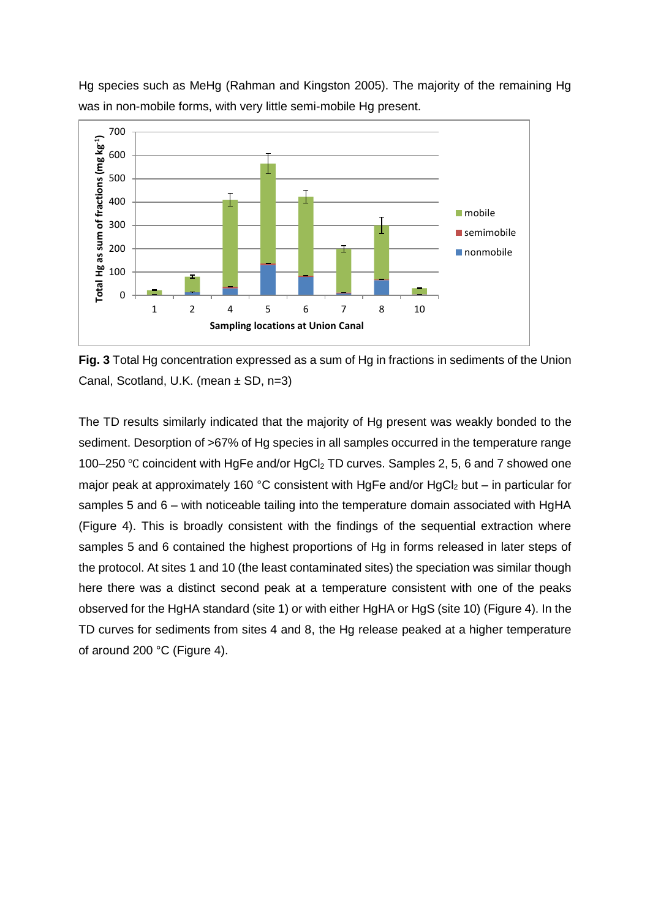

Hg species such as MeHg (Rahman and Kingston 2005). The majority of the remaining Hg was in non-mobile forms, with very little semi-mobile Hg present.

**Fig. 3** Total Hg concentration expressed as a sum of Hg in fractions in sediments of the Union Canal, Scotland, U.K. (mean ± SD, n=3)

The TD results similarly indicated that the majority of Hg present was weakly bonded to the sediment. Desorption of >67% of Hg species in all samples occurred in the temperature range 100–250 °C coincident with HgFe and/or HgCl<sub>2</sub> TD curves. Samples 2, 5, 6 and 7 showed one maior peak at approximately 160 °C consistent with HgFe and/or HgCl<sub>2</sub> but – in particular for samples 5 and 6 – with noticeable tailing into the temperature domain associated with HgHA (Figure 4). This is broadly consistent with the findings of the sequential extraction where samples 5 and 6 contained the highest proportions of Hg in forms released in later steps of the protocol. At sites 1 and 10 (the least contaminated sites) the speciation was similar though here there was a distinct second peak at a temperature consistent with one of the peaks observed for the HgHA standard (site 1) or with either HgHA or HgS (site 10) (Figure 4). In the TD curves for sediments from sites 4 and 8, the Hg release peaked at a higher temperature of around 200 °C (Figure 4).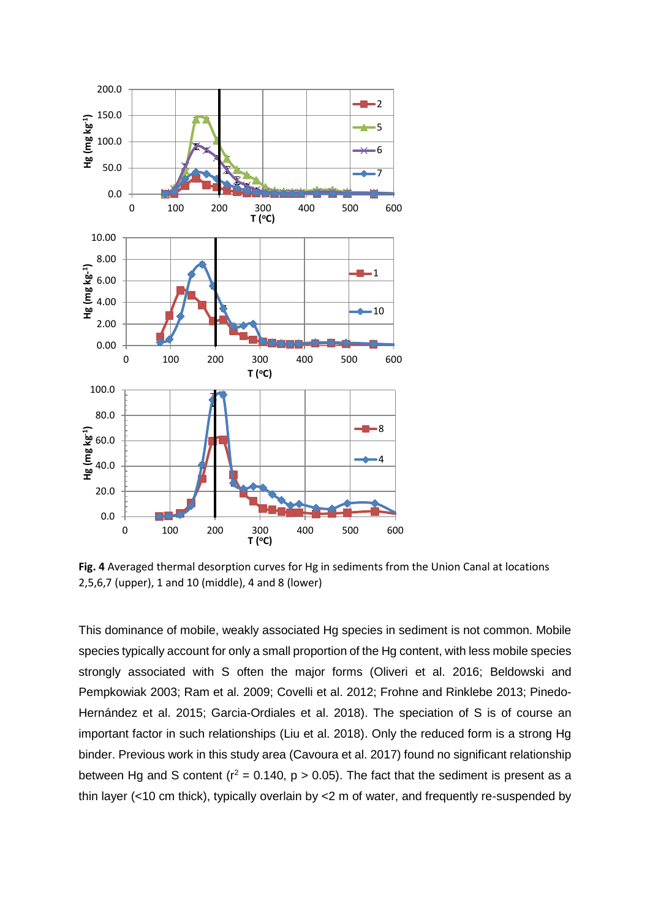

**Fig. 4** Averaged thermal desorption curves for Hg in sediments from the Union Canal at locations 2,5,6,7 (upper), 1 and 10 (middle), 4 and 8 (lower)

This dominance of mobile, weakly associated Hg species in sediment is not common. Mobile species typically account for only a small proportion of the Hg content, with less mobile species strongly associated with S often the major forms (Oliveri et al. 2016; Beldowski and Pempkowiak 2003; Ram et al. 2009; Covelli et al. 2012; Frohne and Rinklebe 2013; Pinedo-Hernández et al. 2015; Garcia-Ordiales et al. 2018). The speciation of S is of course an important factor in such relationships (Liu et al. 2018). Only the reduced form is a strong Hg binder. Previous work in this study area (Cavoura et al. 2017) found no significant relationship between Hg and S content ( $r^2$  = 0.140, p > 0.05). The fact that the sediment is present as a thin layer (<10 cm thick), typically overlain by <2 m of water, and frequently re-suspended by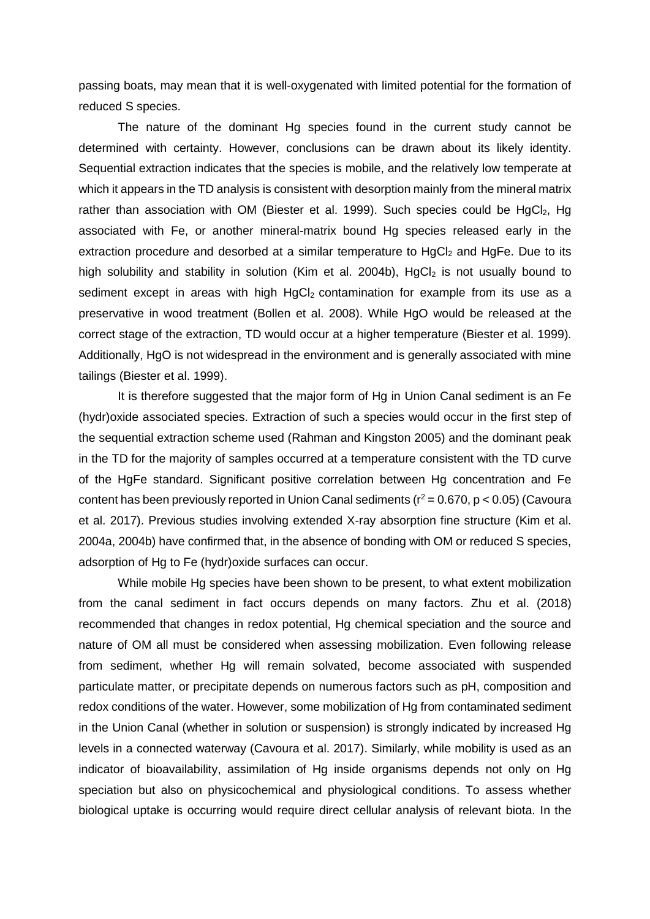passing boats, may mean that it is well-oxygenated with limited potential for the formation of reduced S species.

The nature of the dominant Hg species found in the current study cannot be determined with certainty. However, conclusions can be drawn about its likely identity. Sequential extraction indicates that the species is mobile, and the relatively low temperate at which it appears in the TD analysis is consistent with desorption mainly from the mineral matrix rather than association with OM (Biester et al. 1999). Such species could be  $HgCl<sub>2</sub>$ , Hg associated with Fe, or another mineral-matrix bound Hg species released early in the extraction procedure and desorbed at a similar temperature to HgCl<sub>2</sub> and HgFe. Due to its high solubility and stability in solution (Kim et al. 2004b),  $HqCl<sub>2</sub>$  is not usually bound to sediment except in areas with high  $HqCl<sub>2</sub>$  contamination for example from its use as a preservative in wood treatment (Bollen et al. 2008). While HgO would be released at the correct stage of the extraction, TD would occur at a higher temperature (Biester et al. 1999). Additionally, HgO is not widespread in the environment and is generally associated with mine tailings (Biester et al. 1999).

It is therefore suggested that the major form of Hg in Union Canal sediment is an Fe (hydr)oxide associated species. Extraction of such a species would occur in the first step of the sequential extraction scheme used (Rahman and Kingston 2005) and the dominant peak in the TD for the majority of samples occurred at a temperature consistent with the TD curve of the HgFe standard. Significant positive correlation between Hg concentration and Fe content has been previously reported in Union Canal sediments ( $r^2$  = 0.670, p < 0.05) (Cavoura et al. 2017). Previous studies involving extended X-ray absorption fine structure (Kim et al. 2004a, 2004b) have confirmed that, in the absence of bonding with OM or reduced S species, adsorption of Hg to Fe (hydr)oxide surfaces can occur.

While mobile Hg species have been shown to be present, to what extent mobilization from the canal sediment in fact occurs depends on many factors. Zhu et al. (2018) recommended that changes in redox potential, Hg chemical speciation and the source and nature of OM all must be considered when assessing mobilization. Even following release from sediment, whether Hg will remain solvated, become associated with suspended particulate matter, or precipitate depends on numerous factors such as pH, composition and redox conditions of the water. However, some mobilization of Hg from contaminated sediment in the Union Canal (whether in solution or suspension) is strongly indicated by increased Hg levels in a connected waterway (Cavoura et al. 2017). Similarly, while mobility is used as an indicator of bioavailability, assimilation of Hg inside organisms depends not only on Hg speciation but also on physicochemical and physiological conditions. To assess whether biological uptake is occurring would require direct cellular analysis of relevant biota. In the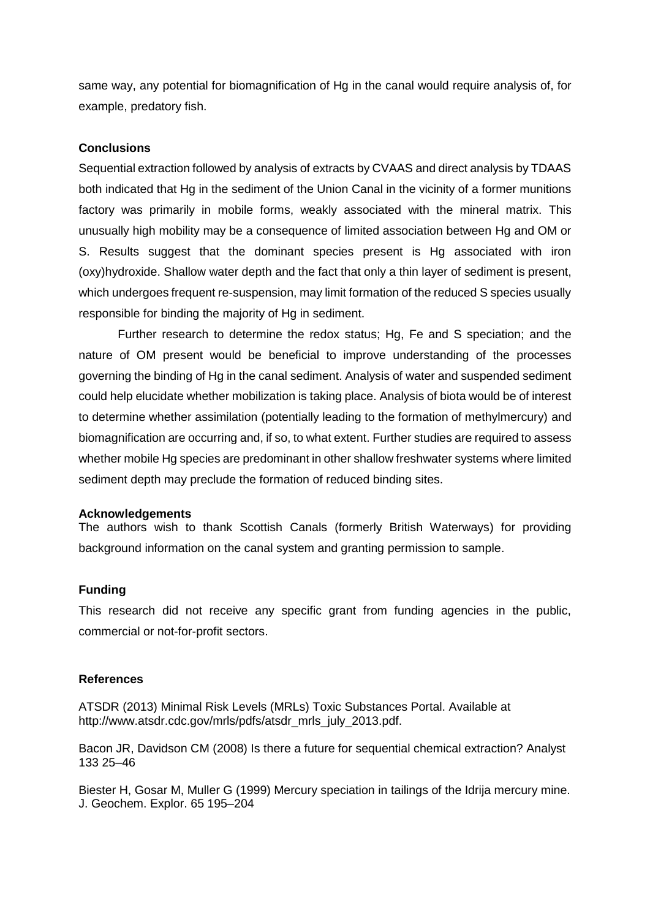same way, any potential for biomagnification of Hg in the canal would require analysis of, for example, predatory fish.

### **Conclusions**

Sequential extraction followed by analysis of extracts by CVAAS and direct analysis by TDAAS both indicated that Hg in the sediment of the Union Canal in the vicinity of a former munitions factory was primarily in mobile forms, weakly associated with the mineral matrix. This unusually high mobility may be a consequence of limited association between Hg and OM or S. Results suggest that the dominant species present is Hg associated with iron (oxy)hydroxide. Shallow water depth and the fact that only a thin layer of sediment is present, which undergoes frequent re-suspension, may limit formation of the reduced S species usually responsible for binding the majority of Hg in sediment.

Further research to determine the redox status; Hg, Fe and S speciation; and the nature of OM present would be beneficial to improve understanding of the processes governing the binding of Hg in the canal sediment. Analysis of water and suspended sediment could help elucidate whether mobilization is taking place. Analysis of biota would be of interest to determine whether assimilation (potentially leading to the formation of methylmercury) and biomagnification are occurring and, if so, to what extent. Further studies are required to assess whether mobile Hg species are predominant in other shallow freshwater systems where limited sediment depth may preclude the formation of reduced binding sites.

#### **Acknowledgements**

The authors wish to thank Scottish Canals (formerly British Waterways) for providing background information on the canal system and granting permission to sample.

## **Funding**

This research did not receive any specific grant from funding agencies in the public, commercial or not-for-profit sectors.

#### **References**

ATSDR (2013) Minimal Risk Levels (MRLs) Toxic Substances Portal. Available at http://www.atsdr.cdc.gov/mrls/pdfs/atsdr\_mrls\_july\_2013.pdf.

Bacon JR, Davidson CM (2008) Is there a future for sequential chemical extraction? Analyst 133 25–46

Biester H, Gosar M, Muller G (1999) Mercury speciation in tailings of the Idrija mercury mine. J. Geochem. Explor. 65 195–204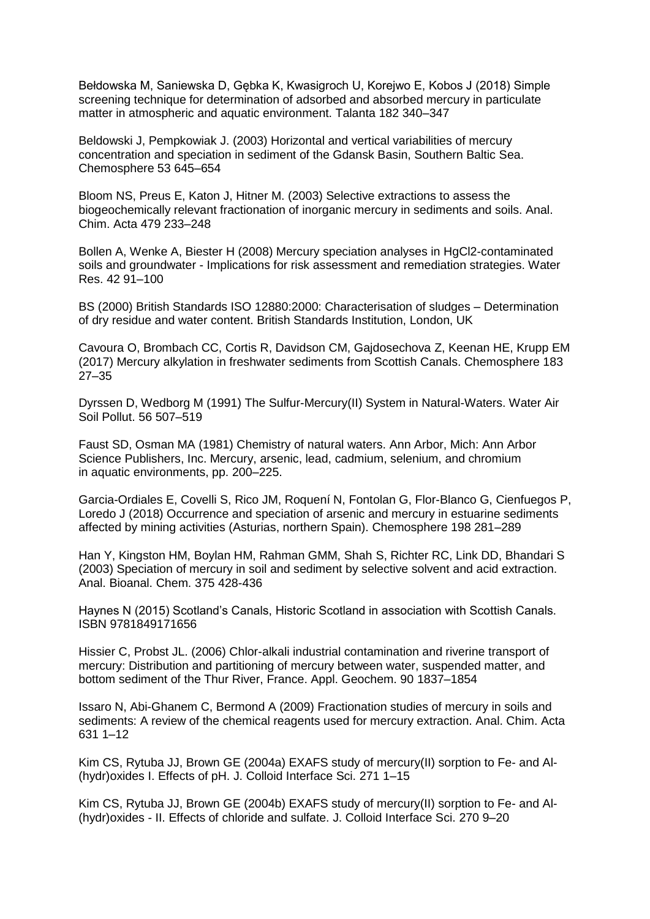Bełdowska M, Saniewska D, Gębka K, Kwasigroch U, Korejwo E, Kobos J (2018) Simple screening technique for determination of adsorbed and absorbed mercury in particulate matter in atmospheric and aquatic environment. Talanta 182 340–347

Beldowski J, Pempkowiak J. (2003) Horizontal and vertical variabilities of mercury concentration and speciation in sediment of the Gdansk Basin, Southern Baltic Sea. Chemosphere 53 645–654

Bloom NS, Preus E, Katon J, Hitner M. (2003) Selective extractions to assess the biogeochemically relevant fractionation of inorganic mercury in sediments and soils. Anal. Chim. Acta 479 233–248

Bollen A, Wenke A, Biester H (2008) Mercury speciation analyses in HgCl2-contaminated soils and groundwater - Implications for risk assessment and remediation strategies. Water Res. 42 91–100

BS (2000) British Standards ISO 12880:2000: Characterisation of sludges – Determination of dry residue and water content. British Standards Institution, London, UK

Cavoura O, Brombach CC, Cortis R, Davidson CM, Gajdosechova Z, Keenan HE, Krupp EM (2017) Mercury alkylation in freshwater sediments from Scottish Canals. Chemosphere 183 27–35

Dyrssen D, Wedborg M (1991) The Sulfur-Mercury(II) System in Natural-Waters. Water Air Soil Pollut. 56 507–519

Faust SD, Osman MA (1981) Chemistry of natural waters. Ann Arbor, Mich: Ann Arbor Science Publishers, Inc. Mercury, arsenic, lead, cadmium, selenium, and chromium in aquatic environments, pp. 200–225.

Garcia-Ordiales E, Covelli S, Rico JM, Roquení N, Fontolan G, Flor-Blanco G, Cienfuegos P, Loredo J (2018) Occurrence and speciation of arsenic and mercury in estuarine sediments affected by mining activities (Asturias, northern Spain). Chemosphere 198 281–289

Han Y, Kingston HM, Boylan HM, Rahman GMM, Shah S, Richter RC, Link DD, Bhandari S (2003) Speciation of mercury in soil and sediment by selective solvent and acid extraction. Anal. Bioanal. Chem. 375 428-436

Haynes N (2015) Scotland's Canals, Historic Scotland in association with Scottish Canals. ISBN 9781849171656

Hissier C, Probst JL. (2006) Chlor-alkali industrial contamination and riverine transport of mercury: Distribution and partitioning of mercury between water, suspended matter, and bottom sediment of the Thur River, France. Appl. Geochem. 90 1837–1854

Issaro N, Abi-Ghanem C, Bermond A (2009) Fractionation studies of mercury in soils and sediments: A review of the chemical reagents used for mercury extraction. Anal. Chim. Acta 631 1–12

Kim CS, Rytuba JJ, Brown GE (2004a) EXAFS study of mercury(II) sorption to Fe- and Al- (hydr)oxides I. Effects of pH. J. Colloid Interface Sci. 271 1–15

Kim CS, Rytuba JJ, Brown GE (2004b) EXAFS study of mercury(II) sorption to Fe- and Al- (hydr)oxides - II. Effects of chloride and sulfate. J. Colloid Interface Sci. 270 9–20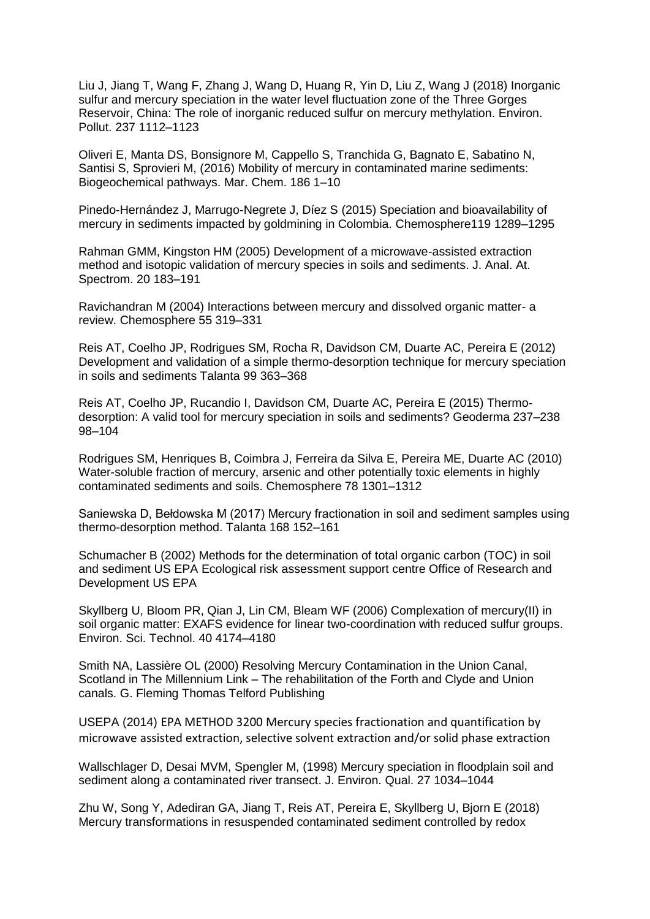Liu J, Jiang T, Wang F, Zhang J, Wang D, Huang R, Yin D, Liu Z, Wang J (2018) Inorganic sulfur and mercury speciation in the water level fluctuation zone of the Three Gorges Reservoir, China: The role of inorganic reduced sulfur on mercury methylation. Environ. Pollut. 237 1112–1123

Oliveri E, Manta DS, Bonsignore M, Cappello S, Tranchida G, Bagnato E, Sabatino N, Santisi S, Sprovieri M, (2016) Mobility of mercury in contaminated marine sediments: Biogeochemical pathways. Mar. Chem. 186 1–10

Pinedo-Hernández J, Marrugo-Negrete J, Díez S (2015) Speciation and bioavailability of mercury in sediments impacted by goldmining in Colombia. Chemosphere119 1289–1295

Rahman GMM, Kingston HM (2005) Development of a microwave-assisted extraction method and isotopic validation of mercury species in soils and sediments. J. Anal. At. Spectrom. 20 183–191

Ravichandran M (2004) Interactions between mercury and dissolved organic matter- a review. Chemosphere 55 319–331

Reis AT, Coelho JP, Rodrigues SM, Rocha R, Davidson CM, Duarte AC, Pereira E (2012) Development and validation of a simple thermo-desorption technique for mercury speciation in soils and sediments Talanta 99 363–368

Reis AT, Coelho JP, Rucandio I, Davidson CM, Duarte AC, Pereira E (2015) Thermodesorption: A valid tool for mercury speciation in soils and sediments? Geoderma 237–238 98–104

Rodrigues SM, Henriques B, Coimbra J, Ferreira da Silva E, Pereira ME, Duarte AC (2010) Water-soluble fraction of mercury, arsenic and other potentially toxic elements in highly contaminated sediments and soils. Chemosphere 78 1301–1312

Saniewska D, Bełdowska M (2017) Mercury fractionation in soil and sediment samples using thermo-desorption method. Talanta 168 152–161

Schumacher B (2002) Methods for the determination of total organic carbon (TOC) in soil and sediment US EPA Ecological risk assessment support centre Office of Research and Development US EPA

Skyllberg U, Bloom PR, Qian J, Lin CM, Bleam WF (2006) Complexation of mercury(II) in soil organic matter: EXAFS evidence for linear two-coordination with reduced sulfur groups. Environ. Sci. Technol. 40 4174–4180

Smith NA, Lassière OL (2000) Resolving Mercury Contamination in the Union Canal, Scotland in The Millennium Link – The rehabilitation of the Forth and Clyde and Union canals. G. Fleming Thomas Telford Publishing

USEPA (2014) EPA METHOD 3200 Mercury species fractionation and quantification by microwave assisted extraction, selective solvent extraction and/or solid phase extraction

Wallschlager D, Desai MVM, Spengler M, (1998) Mercury speciation in floodplain soil and sediment along a contaminated river transect. J. Environ. Qual. 27 1034–1044

Zhu W, Song Y, Adediran GA, Jiang T, Reis AT, Pereira E, Skyllberg U, Bjorn E (2018) Mercury transformations in resuspended contaminated sediment controlled by redox